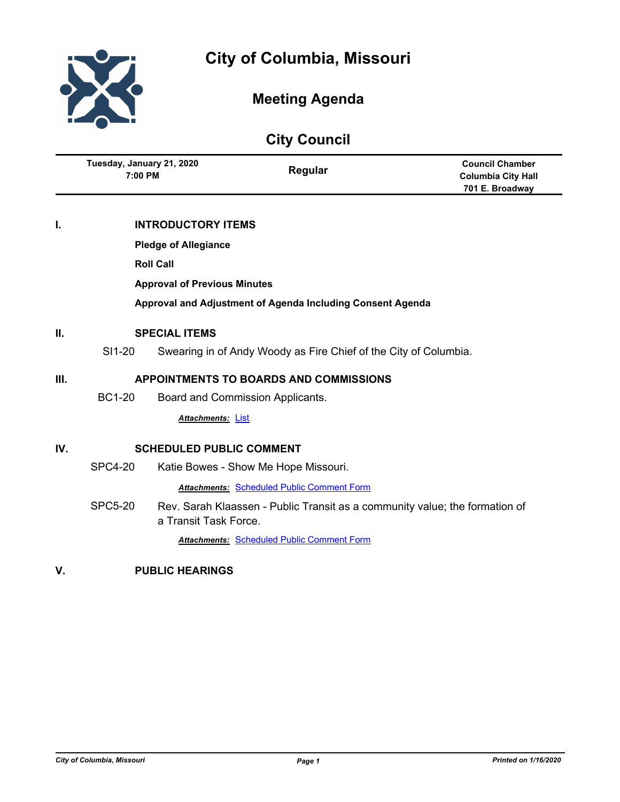

# **Meeting Agenda**

|      |                                                                            |                           | <b>City Council</b>                                                         |                                                                        |
|------|----------------------------------------------------------------------------|---------------------------|-----------------------------------------------------------------------------|------------------------------------------------------------------------|
|      | Tuesday, January 21, 2020<br>7:00 PM                                       |                           | Regular                                                                     | <b>Council Chamber</b><br><b>Columbia City Hall</b><br>701 E. Broadway |
| L    |                                                                            | <b>INTRODUCTORY ITEMS</b> |                                                                             |                                                                        |
|      | <b>Pledge of Allegiance</b>                                                |                           |                                                                             |                                                                        |
|      |                                                                            | <b>Roll Call</b>          |                                                                             |                                                                        |
|      | <b>Approval of Previous Minutes</b>                                        |                           |                                                                             |                                                                        |
|      |                                                                            |                           | Approval and Adjustment of Agenda Including Consent Agenda                  |                                                                        |
| П.   | <b>SPECIAL ITEMS</b>                                                       |                           |                                                                             |                                                                        |
|      | SI1-20<br>Swearing in of Andy Woody as Fire Chief of the City of Columbia. |                           |                                                                             |                                                                        |
| III. | <b>APPOINTMENTS TO BOARDS AND COMMISSIONS</b>                              |                           |                                                                             |                                                                        |
|      | <b>BC1-20</b>                                                              |                           | Board and Commission Applicants.                                            |                                                                        |
|      |                                                                            | <b>Attachments: List</b>  |                                                                             |                                                                        |
| IV.  | <b>SCHEDULED PUBLIC COMMENT</b>                                            |                           |                                                                             |                                                                        |
|      | <b>SPC4-20</b>                                                             |                           | Katie Bowes - Show Me Hope Missouri.                                        |                                                                        |
|      |                                                                            |                           | <b>Attachments: Scheduled Public Comment Form</b>                           |                                                                        |
|      | <b>SPC5-20</b>                                                             | a Transit Task Force.     | Rev. Sarah Klaassen - Public Transit as a community value; the formation of |                                                                        |

*Attachments:* [Scheduled Public Comment Form](http://gocolumbiamo.legistar.com/gateway.aspx?M=F&ID=7117e5ef-b0c1-4e12-910c-10eded0852eb.pdf)

**V. PUBLIC HEARINGS**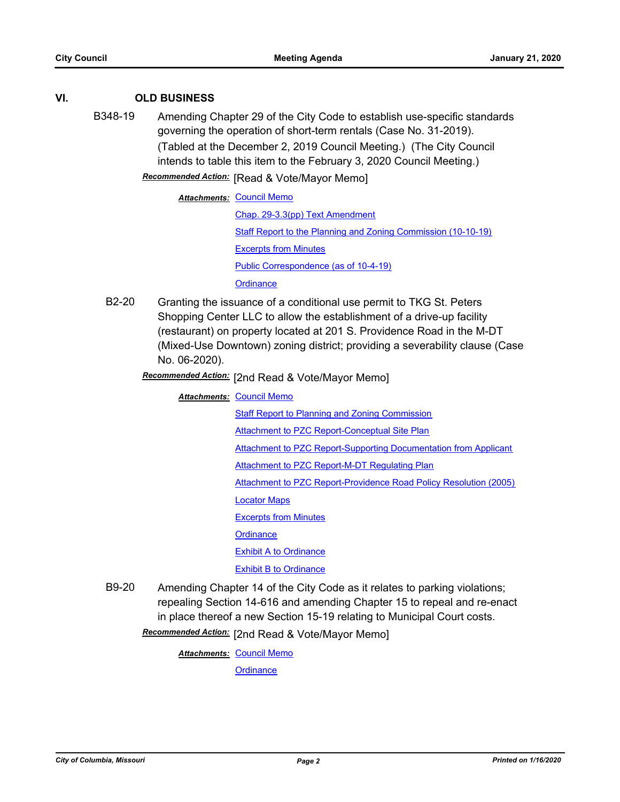### **VI. OLD BUSINESS**

B348-19 Amending Chapter 29 of the City Code to establish use-specific standards governing the operation of short-term rentals (Case No. 31-2019). (Tabled at the December 2, 2019 Council Meeting.) (The City Council intends to table this item to the February 3, 2020 Council Meeting.)

**Recommended Action:** [Read & Vote/Mayor Memo]

**Attachments: [Council Memo](http://gocolumbiamo.legistar.com/gateway.aspx?M=F&ID=0b07c885-95f9-4ed5-9824-cf5f7841d4ee.docx)** [Chap. 29-3.3\(pp\) Text Amendment](http://gocolumbiamo.legistar.com/gateway.aspx?M=F&ID=877a6665-a6ed-477a-86ba-3d4cddd36f76.pdf) [Staff Report to the Planning and Zoning Commission \(10-10-19\)](http://gocolumbiamo.legistar.com/gateway.aspx?M=F&ID=5f717cc8-5b0c-4fac-9653-c6d9ad0072f9.docx) [Excerpts from Minutes](http://gocolumbiamo.legistar.com/gateway.aspx?M=F&ID=154747de-fb34-473d-9c50-6cb643fbaebf.docx) [Public Correspondence \(as of 10-4-19\)](http://gocolumbiamo.legistar.com/gateway.aspx?M=F&ID=89cfd37f-a6b4-4ab5-a2fd-349cb1ad3575.pdf) **[Ordinance](http://gocolumbiamo.legistar.com/gateway.aspx?M=F&ID=b11c31d6-dcb3-42ed-b8a0-1500fb198288.doc)** 

B2-20 Granting the issuance of a conditional use permit to TKG St. Peters Shopping Center LLC to allow the establishment of a drive-up facility (restaurant) on property located at 201 S. Providence Road in the M-DT (Mixed-Use Downtown) zoning district; providing a severability clause (Case No. 06-2020).

[2nd Read & Vote/Mayor Memo] *Recommended Action:*

**Attachments: [Council Memo](http://gocolumbiamo.legistar.com/gateway.aspx?M=F&ID=85340038-4d56-4945-8bc6-0681469fe49f.docx)** 

[Staff Report to Planning and Zoning Commission](http://gocolumbiamo.legistar.com/gateway.aspx?M=F&ID=6e4e2523-7449-471a-bd65-4eaa65c09e6c.docx)

**[Attachment to PZC Report-Conceptual Site Plan](http://gocolumbiamo.legistar.com/gateway.aspx?M=F&ID=3566dda9-780e-469f-aa51-7f817bb682e6.pdf)** 

[Attachment to PZC Report-Supporting Documentation from Applicant](http://gocolumbiamo.legistar.com/gateway.aspx?M=F&ID=0f7729cd-0ae6-4c9c-9d0d-881f16751e89.docx)

[Attachment to PZC Report-M-DT Regulating Plan](http://gocolumbiamo.legistar.com/gateway.aspx?M=F&ID=414ed5dd-b7c6-472c-a873-58b9bfc4e7b2.pdf)

[Attachment to PZC Report-Providence Road Policy Resolution \(2005\)](http://gocolumbiamo.legistar.com/gateway.aspx?M=F&ID=13687f03-ba81-4b50-aa0e-465d9f2bea06.pdf)

[Locator Maps](http://gocolumbiamo.legistar.com/gateway.aspx?M=F&ID=15964011-2c60-4cf9-b1f0-9a17bd9c523d.pdf)

[Excerpts from Minutes](http://gocolumbiamo.legistar.com/gateway.aspx?M=F&ID=b3bb1f77-8d95-4a33-b2cf-fab6ac175c9a.docx)

**[Ordinance](http://gocolumbiamo.legistar.com/gateway.aspx?M=F&ID=88536a4f-d703-4c6d-bb84-3b0dfb171587.doc)** 

**[Exhibit A to Ordinance](http://gocolumbiamo.legistar.com/gateway.aspx?M=F&ID=cf64837a-381c-455c-8d75-bd72a884eac8.docx)** 

**[Exhibit B to Ordinance](http://gocolumbiamo.legistar.com/gateway.aspx?M=F&ID=844fe83d-3829-4331-b510-a60f4e9cd98f.pdf)** 

B9-20 Amending Chapter 14 of the City Code as it relates to parking violations; repealing Section 14-616 and amending Chapter 15 to repeal and re-enact in place thereof a new Section 15-19 relating to Municipal Court costs.

Recommended Action: [2nd Read & Vote/Mayor Memo]

**Attachments: [Council Memo](http://gocolumbiamo.legistar.com/gateway.aspx?M=F&ID=2b9ea727-ac7d-4d3f-9296-a87af02da379.docx)**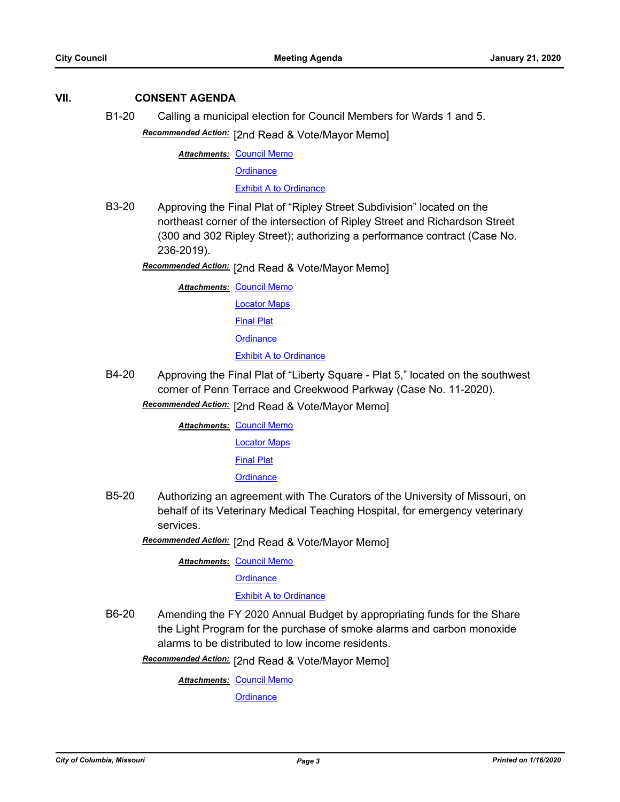### **VII. CONSENT AGENDA**

B1-20 Calling a municipal election for Council Members for Wards 1 and 5.

Recommended Action: [2nd Read & Vote/Mayor Memo]

**Attachments: [Council Memo](http://gocolumbiamo.legistar.com/gateway.aspx?M=F&ID=be055849-95bf-4d43-9d64-b12c603b864a.docx)** 

**[Ordinance](http://gocolumbiamo.legistar.com/gateway.aspx?M=F&ID=23bf7c3a-dbea-4eb3-966f-3829f563ad7b.doc)** 

[Exhibit A to Ordinance](http://gocolumbiamo.legistar.com/gateway.aspx?M=F&ID=f6e77e91-2c8a-410e-bbe0-8147528f6c28.doc)

B3-20 Approving the Final Plat of "Ripley Street Subdivision" located on the northeast corner of the intersection of Ripley Street and Richardson Street (300 and 302 Ripley Street); authorizing a performance contract (Case No. 236-2019).

[2nd Read & Vote/Mayor Memo] *Recommended Action:*

**Attachments: [Council Memo](http://gocolumbiamo.legistar.com/gateway.aspx?M=F&ID=b1d4dc9a-4b2d-417b-a0ff-6d8d29ef35ae.docx)** 

[Locator Maps](http://gocolumbiamo.legistar.com/gateway.aspx?M=F&ID=6f57cca3-f954-4959-9064-48ef3fb95c04.pdf)

[Final Plat](http://gocolumbiamo.legistar.com/gateway.aspx?M=F&ID=c25a2726-6d04-4dea-9bb6-dc6f69f97381.pdf)

**[Ordinance](http://gocolumbiamo.legistar.com/gateway.aspx?M=F&ID=a84c1918-7eb8-4e3c-bb5e-6b814dd7e7fd.doc)** 

[Exhibit A to Ordinance](http://gocolumbiamo.legistar.com/gateway.aspx?M=F&ID=72b9f60f-04d7-4806-bb54-a3fac5ed6b06.pdf)

B4-20 Approving the Final Plat of "Liberty Square - Plat 5," located on the southwest corner of Penn Terrace and Creekwood Parkway (Case No. 11-2020).

Recommended Action: [2nd Read & Vote/Mayor Memo]

**Attachments: [Council Memo](http://gocolumbiamo.legistar.com/gateway.aspx?M=F&ID=9fcfdcde-b146-4f6c-a7d1-1833359fbed0.docx)** 

[Locator Maps](http://gocolumbiamo.legistar.com/gateway.aspx?M=F&ID=04a1876b-dbea-4ec9-8e98-fc54af407f61.pdf)

[Final Plat](http://gocolumbiamo.legistar.com/gateway.aspx?M=F&ID=33bed345-9b3e-4abc-81f1-9a5c93f6d9f7.pdf)

**[Ordinance](http://gocolumbiamo.legistar.com/gateway.aspx?M=F&ID=81c8a9c3-ba53-44fa-8ff4-0357be56a5e7.doc)** 

B5-20 Authorizing an agreement with The Curators of the University of Missouri, on behalf of its Veterinary Medical Teaching Hospital, for emergency veterinary services.

**Recommended Action:** [2nd Read & Vote/Mayor Memo]

**Attachments: [Council Memo](http://gocolumbiamo.legistar.com/gateway.aspx?M=F&ID=88232c57-6eb6-483a-9cb9-7d2e8c547c32.docx)** 

**[Ordinance](http://gocolumbiamo.legistar.com/gateway.aspx?M=F&ID=cd4a55d7-f317-4dff-b919-d24f93b28946.doc)** 

### [Exhibit A to Ordinance](http://gocolumbiamo.legistar.com/gateway.aspx?M=F&ID=323bac9f-8176-40a4-a28b-8dad8a97d984.pdf)

B6-20 Amending the FY 2020 Annual Budget by appropriating funds for the Share the Light Program for the purchase of smoke alarms and carbon monoxide alarms to be distributed to low income residents.

Recommended Action: [2nd Read & Vote/Mayor Memo]

**Attachments: [Council Memo](http://gocolumbiamo.legistar.com/gateway.aspx?M=F&ID=c2326f03-1d2a-4449-9a8f-16db213880f5.docx)**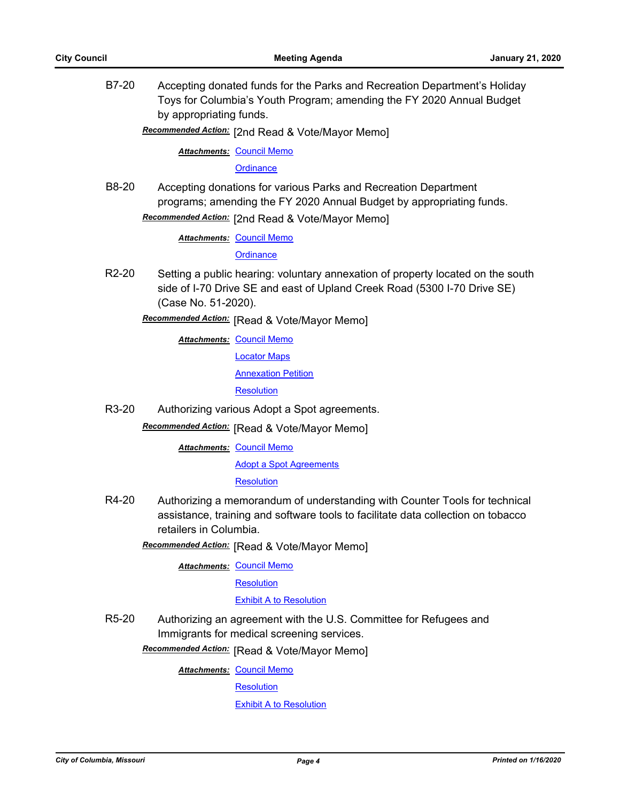B7-20 Accepting donated funds for the Parks and Recreation Department's Holiday Toys for Columbia's Youth Program; amending the FY 2020 Annual Budget by appropriating funds.

Recommended Action: [2nd Read & Vote/Mayor Memo]

**Attachments: [Council Memo](http://gocolumbiamo.legistar.com/gateway.aspx?M=F&ID=1c900aff-8304-4ed6-a74d-4161e40e7111.docx)** 

**[Ordinance](http://gocolumbiamo.legistar.com/gateway.aspx?M=F&ID=5f9274d1-7914-4671-84c4-668944ce537c.doc)** 

B8-20 Accepting donations for various Parks and Recreation Department programs; amending the FY 2020 Annual Budget by appropriating funds.

Recommended Action: [2nd Read & Vote/Mayor Memo]

**Attachments: [Council Memo](http://gocolumbiamo.legistar.com/gateway.aspx?M=F&ID=e91d74bc-8715-41eb-83b6-ad81f0ee64f9.docx)** 

**[Ordinance](http://gocolumbiamo.legistar.com/gateway.aspx?M=F&ID=9da8b8e9-2136-40ca-95fb-6ca14d207d43.doc)** 

R2-20 Setting a public hearing: voluntary annexation of property located on the south side of I-70 Drive SE and east of Upland Creek Road (5300 I-70 Drive SE) (Case No. 51-2020).

**Recommended Action:** [Read & Vote/Mayor Memo]

**Attachments: [Council Memo](http://gocolumbiamo.legistar.com/gateway.aspx?M=F&ID=79f73f42-8be8-45f4-ad1e-6a0ecb59ce1e.docx)** 

[Locator Maps](http://gocolumbiamo.legistar.com/gateway.aspx?M=F&ID=faf32bcf-dacd-495b-8097-b99da3dcb3e2.pdf)

[Annexation Petition](http://gocolumbiamo.legistar.com/gateway.aspx?M=F&ID=b5557087-70a9-4c3b-b4c0-7fa2659fcabd.pdf)

**[Resolution](http://gocolumbiamo.legistar.com/gateway.aspx?M=F&ID=4e9ed65b-c245-4a4d-b6ff-248b0519d34a.doc)** 

R3-20 Authorizing various Adopt a Spot agreements.

**Recommended Action:** [Read & Vote/Mayor Memo]

**Attachments: [Council Memo](http://gocolumbiamo.legistar.com/gateway.aspx?M=F&ID=824499b7-d3ad-4599-be26-b9836514d334.docx)** 

[Adopt a Spot Agreements](http://gocolumbiamo.legistar.com/gateway.aspx?M=F&ID=887ccf17-4635-4f31-90fe-287d410a5ffe.pdf)

**[Resolution](http://gocolumbiamo.legistar.com/gateway.aspx?M=F&ID=26ffbd65-d60d-4bda-ba4d-9cab2d62be15.doc)** 

R4-20 Authorizing a memorandum of understanding with Counter Tools for technical assistance, training and software tools to facilitate data collection on tobacco retailers in Columbia.

**Recommended Action:** [Read & Vote/Mayor Memo]

**Attachments: [Council Memo](http://gocolumbiamo.legistar.com/gateway.aspx?M=F&ID=2a54d0f6-327f-46d7-a9ad-da8b5c85b7b6.docx)** 

**[Resolution](http://gocolumbiamo.legistar.com/gateway.aspx?M=F&ID=79f84986-956e-4bb9-b705-0525b18a2568.doc)** 

### [Exhibit A to Resolution](http://gocolumbiamo.legistar.com/gateway.aspx?M=F&ID=01d9ef25-2c0d-4c5f-b5bb-439324bc2716.pdf)

R5-20 Authorizing an agreement with the U.S. Committee for Refugees and Immigrants for medical screening services.

**Recommended Action:** [Read & Vote/Mayor Memo]

**Attachments: [Council Memo](http://gocolumbiamo.legistar.com/gateway.aspx?M=F&ID=78a9b9ed-5730-4565-89b0-95b2d9214dfd.docx)** 

**[Resolution](http://gocolumbiamo.legistar.com/gateway.aspx?M=F&ID=00ddf01c-cec8-4e66-b896-56b25ae5ce85.doc)** 

[Exhibit A to Resolution](http://gocolumbiamo.legistar.com/gateway.aspx?M=F&ID=7cafdb06-d72b-4b93-ba0c-5b71b3b6fb2d.pdf)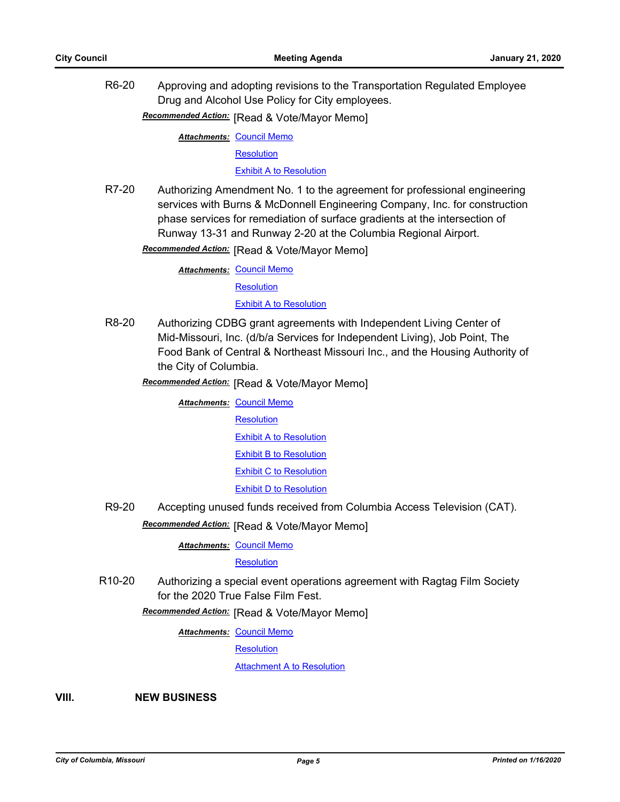R6-20 Approving and adopting revisions to the Transportation Regulated Employee Drug and Alcohol Use Policy for City employees.

**Recommended Action:** [Read & Vote/Mayor Memo]

**Attachments: [Council Memo](http://gocolumbiamo.legistar.com/gateway.aspx?M=F&ID=afa50afb-dd8f-462f-b630-a8cf52fef831.docx)** 

**[Resolution](http://gocolumbiamo.legistar.com/gateway.aspx?M=F&ID=954a850e-3cde-4463-a3c4-e757ef813a50.doc)** 

[Exhibit A to Resolution](http://gocolumbiamo.legistar.com/gateway.aspx?M=F&ID=49621afc-b7e5-4e50-b88c-fe4d8acc4fdc.pdf)

R7-20 Authorizing Amendment No. 1 to the agreement for professional engineering services with Burns & McDonnell Engineering Company, Inc. for construction phase services for remediation of surface gradients at the intersection of Runway 13-31 and Runway 2-20 at the Columbia Regional Airport.

**Recommended Action:** [Read & Vote/Mayor Memo]

**Attachments: [Council Memo](http://gocolumbiamo.legistar.com/gateway.aspx?M=F&ID=ced95f8e-ed91-49a6-b3bf-d70b4cbb2184.docx)** 

**[Resolution](http://gocolumbiamo.legistar.com/gateway.aspx?M=F&ID=df3c1899-efc2-4bbf-9e12-1f3bb1bb3ea8.doc)** 

[Exhibit A to Resolution](http://gocolumbiamo.legistar.com/gateway.aspx?M=F&ID=f7cb29e2-ef30-4c08-bb74-2120245e6b9b.pdf)

- R8-20 Authorizing CDBG grant agreements with Independent Living Center of Mid-Missouri, Inc. (d/b/a Services for Independent Living), Job Point, The Food Bank of Central & Northeast Missouri Inc., and the Housing Authority of the City of Columbia.
	- **Recommended Action:** [Read & Vote/Mayor Memo]

**Attachments: [Council Memo](http://gocolumbiamo.legistar.com/gateway.aspx?M=F&ID=794b9a77-04f0-4749-befe-886565af8337.docx) [Resolution](http://gocolumbiamo.legistar.com/gateway.aspx?M=F&ID=8a6b7023-666b-4d41-8ef7-c4e7d9a44ece.doc)** [Exhibit A to Resolution](http://gocolumbiamo.legistar.com/gateway.aspx?M=F&ID=6e98f13a-1921-4e9d-8cbb-78d77957246a.pdf) [Exhibit B to Resolution](http://gocolumbiamo.legistar.com/gateway.aspx?M=F&ID=d7c9bb48-50cb-4b76-af89-a00d197f9c65.pdf) [Exhibit C to Resolution](http://gocolumbiamo.legistar.com/gateway.aspx?M=F&ID=9ea0d0ab-d920-4711-995a-39763fcf6505.pdf) [Exhibit D to Resolution](http://gocolumbiamo.legistar.com/gateway.aspx?M=F&ID=95da002b-c00d-4dce-b422-9b8e04994636.pdf)

R9-20 Accepting unused funds received from Columbia Access Television (CAT).

**Recommended Action:** [Read & Vote/Mayor Memo]

**Attachments: [Council Memo](http://gocolumbiamo.legistar.com/gateway.aspx?M=F&ID=4095aae0-2125-4d26-8fe0-f71f01351a3b.docx)** 

**[Resolution](http://gocolumbiamo.legistar.com/gateway.aspx?M=F&ID=78d05935-3619-4064-84aa-39b2e0802275.doc)** 

R10-20 Authorizing a special event operations agreement with Ragtag Film Society for the 2020 True False Film Fest.

**Recommended Action:** [Read & Vote/Mayor Memo]

**Attachments: [Council Memo](http://gocolumbiamo.legistar.com/gateway.aspx?M=F&ID=58094cd5-1a80-41c4-8ea8-732bb533268f.docx)** 

**[Resolution](http://gocolumbiamo.legistar.com/gateway.aspx?M=F&ID=e3d03425-4a0c-4dfe-8c21-276525ade14e.doc)** 

[Attachment A to Resolution](http://gocolumbiamo.legistar.com/gateway.aspx?M=F&ID=31b812c7-078d-4d29-9954-ae16de0c2ad7.pdf)

**VIII. NEW BUSINESS**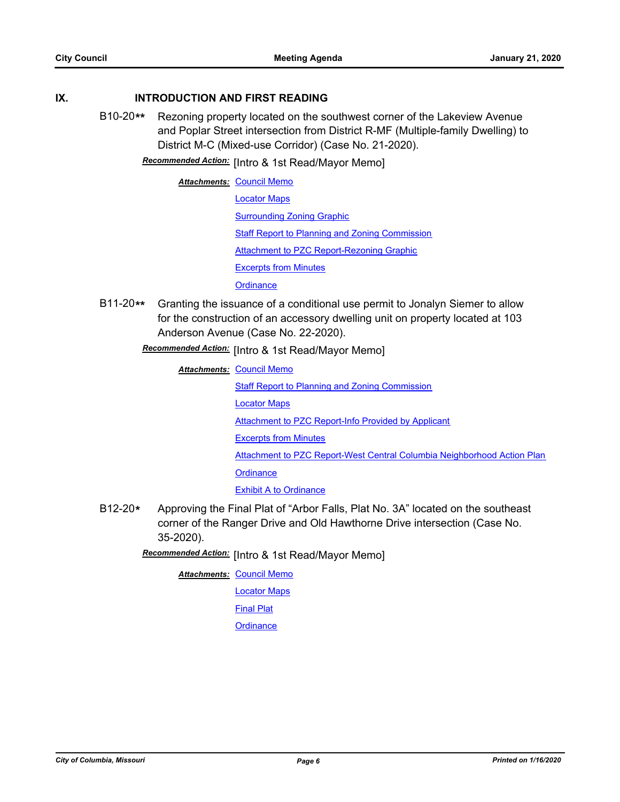### **IX. INTRODUCTION AND FIRST READING**

B10-20**\*\*** Rezoning property located on the southwest corner of the Lakeview Avenue and Poplar Street intersection from District R-MF (Multiple-family Dwelling) to District M-C (Mixed-use Corridor) (Case No. 21-2020).

**Recommended Action:** [Intro & 1st Read/Mayor Memo]

**Attachments: [Council Memo](http://gocolumbiamo.legistar.com/gateway.aspx?M=F&ID=35967e11-391e-4163-83cb-93201795117f.docx)** [Locator Maps](http://gocolumbiamo.legistar.com/gateway.aspx?M=F&ID=33a268aa-d012-4809-af27-e328c0cdd7c3.pdf) [Surrounding Zoning Graphic](http://gocolumbiamo.legistar.com/gateway.aspx?M=F&ID=c62c88b4-ca45-445a-a3f3-edeecce40d7a.docx) [Staff Report to Planning and Zoning Commission](http://gocolumbiamo.legistar.com/gateway.aspx?M=F&ID=992bd760-8ebe-4105-8c74-965dcb599553.docx) [Attachment to PZC Report-Rezoning Graphic](http://gocolumbiamo.legistar.com/gateway.aspx?M=F&ID=ea5427a6-8ca5-4b67-bdb1-7c80612127c9.pdf) [Excerpts from Minutes](http://gocolumbiamo.legistar.com/gateway.aspx?M=F&ID=b98c830b-0e31-4a7d-894f-7033bd067065.docx) **[Ordinance](http://gocolumbiamo.legistar.com/gateway.aspx?M=F&ID=056472e0-8b82-454b-b085-5761f339d877.doc)** 

B11-20**\*\*** Granting the issuance of a conditional use permit to Jonalyn Siemer to allow for the construction of an accessory dwelling unit on property located at 103 Anderson Avenue (Case No. 22-2020).

**Recommended Action:** [Intro & 1st Read/Mayor Memo]

**Attachments: [Council Memo](http://gocolumbiamo.legistar.com/gateway.aspx?M=F&ID=70734737-1102-442a-86cf-bb7434d1df8a.docx)** 

**[Staff Report to Planning and Zoning Commission](http://gocolumbiamo.legistar.com/gateway.aspx?M=F&ID=679b508c-3d09-49eb-9f05-6a0744c101c9.docx)** [Locator Maps](http://gocolumbiamo.legistar.com/gateway.aspx?M=F&ID=974b3216-5d2f-42ad-bfa6-e4451e1c0113.pdf) [Attachment to PZC Report-Info Provided by Applicant](http://gocolumbiamo.legistar.com/gateway.aspx?M=F&ID=e98f5537-1bb1-4372-bcf5-818ac3563eb1.pdf) [Excerpts from Minutes](http://gocolumbiamo.legistar.com/gateway.aspx?M=F&ID=537de609-1cb4-4d8e-9c63-42528f8ca583.docx) [Attachment to PZC Report-West Central Columbia Neighborhood Action Plan](http://gocolumbiamo.legistar.com/gateway.aspx?M=F&ID=ee53c0f8-a15d-487b-b4a9-8d6f1680cd96.pdf) **[Ordinance](http://gocolumbiamo.legistar.com/gateway.aspx?M=F&ID=bab57c51-5e67-4c41-90ff-76e613121220.doc)** [Exhibit A to Ordinance](http://gocolumbiamo.legistar.com/gateway.aspx?M=F&ID=7b9e8309-a925-48e7-aaf0-61e7a48c322a.docx)

B12-20**\*** Approving the Final Plat of "Arbor Falls, Plat No. 3A" located on the southeast corner of the Ranger Drive and Old Hawthorne Drive intersection (Case No. 35-2020).

Recommended Action: [Intro & 1st Read/Mayor Memo]

**Attachments: [Council Memo](http://gocolumbiamo.legistar.com/gateway.aspx?M=F&ID=e4e087b3-6d08-4288-8e1d-0cf163e64f98.docx)** 

[Locator Maps](http://gocolumbiamo.legistar.com/gateway.aspx?M=F&ID=9c3cc573-a3ba-4e2f-aad5-2dfc7ecb0979.pdf)

[Final Plat](http://gocolumbiamo.legistar.com/gateway.aspx?M=F&ID=c1d0d67d-38a6-4d44-bef8-5befe0d22a53.pdf)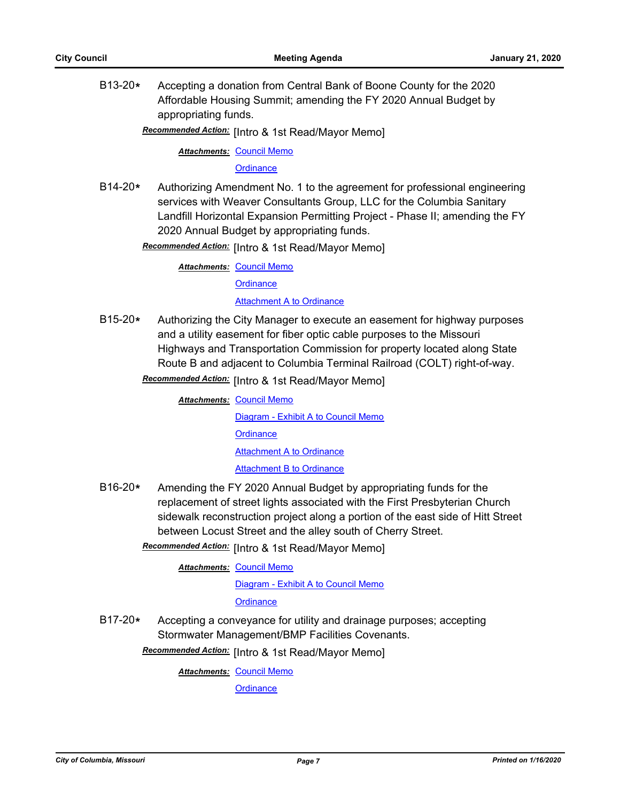B13-20**\*** Accepting a donation from Central Bank of Boone County for the 2020 Affordable Housing Summit; amending the FY 2020 Annual Budget by appropriating funds.

Recommended Action: [Intro & 1st Read/Mayor Memo]

**Attachments: [Council Memo](http://gocolumbiamo.legistar.com/gateway.aspx?M=F&ID=5a2c27fb-a4b8-4825-a592-f9004f29eb88.docx)** 

**[Ordinance](http://gocolumbiamo.legistar.com/gateway.aspx?M=F&ID=2a1c7287-503b-43ce-91be-1919e4975db3.doc)** 

B14-20**\*** Authorizing Amendment No. 1 to the agreement for professional engineering services with Weaver Consultants Group, LLC for the Columbia Sanitary Landfill Horizontal Expansion Permitting Project - Phase II; amending the FY 2020 Annual Budget by appropriating funds.

**Recommended Action:** [Intro & 1st Read/Mayor Memo]

**Attachments: [Council Memo](http://gocolumbiamo.legistar.com/gateway.aspx?M=F&ID=32c28dd8-cd01-46ac-a053-134f8c1e579b.docx)** 

**[Ordinance](http://gocolumbiamo.legistar.com/gateway.aspx?M=F&ID=4b8f7727-8241-4b94-91ed-16752c8f9436.doc)** 

**[Attachment A to Ordinance](http://gocolumbiamo.legistar.com/gateway.aspx?M=F&ID=03f6f19c-b679-407b-9262-5a95635a6391.pdf)** 

B15-20**\*** Authorizing the City Manager to execute an easement for highway purposes and a utility easement for fiber optic cable purposes to the Missouri Highways and Transportation Commission for property located along State Route B and adjacent to Columbia Terminal Railroad (COLT) right-of-way. **Recommended Action:** [Intro & 1st Read/Mayor Memo]

> **Attachments: [Council Memo](http://gocolumbiamo.legistar.com/gateway.aspx?M=F&ID=fe63e628-4f14-43a6-abb2-adf971192148.docx)** [Diagram - Exhibit A to Council Memo](http://gocolumbiamo.legistar.com/gateway.aspx?M=F&ID=927ae14c-c724-47a0-95d3-e73aae9bfe67.pdf)

> > **[Ordinance](http://gocolumbiamo.legistar.com/gateway.aspx?M=F&ID=1c080d76-44d5-4a9b-aec2-fe239be22d0d.doc)**

**[Attachment A to Ordinance](http://gocolumbiamo.legistar.com/gateway.aspx?M=F&ID=1dd2b4a2-8334-4ee3-b725-43d8b2c11640.pdf)** 

[Attachment B to Ordinance](http://gocolumbiamo.legistar.com/gateway.aspx?M=F&ID=bdd96224-544f-4d9a-9dc8-20c739507cdf.pdf)

- B16-20**\*** Amending the FY 2020 Annual Budget by appropriating funds for the replacement of street lights associated with the First Presbyterian Church sidewalk reconstruction project along a portion of the east side of Hitt Street between Locust Street and the alley south of Cherry Street.
	- Recommended Action: [Intro & 1st Read/Mayor Memo]

**Attachments: [Council Memo](http://gocolumbiamo.legistar.com/gateway.aspx?M=F&ID=4c9f4b4d-631a-4a32-b729-d98d46bdf17a.docx)** 

[Diagram - Exhibit A to Council Memo](http://gocolumbiamo.legistar.com/gateway.aspx?M=F&ID=7d10ce72-ae85-4674-9df9-a303bbc64e63.pdf)

**[Ordinance](http://gocolumbiamo.legistar.com/gateway.aspx?M=F&ID=84fa6a99-4743-46fd-8509-0131af9c1a82.doc)** 

B17-20**\*** Accepting a conveyance for utility and drainage purposes; accepting Stormwater Management/BMP Facilities Covenants.

Recommended Action: [Intro & 1st Read/Mayor Memo]

**Attachments: [Council Memo](http://gocolumbiamo.legistar.com/gateway.aspx?M=F&ID=6908d7cb-570e-4dab-b73d-7a8e0ceb3f74.docx)**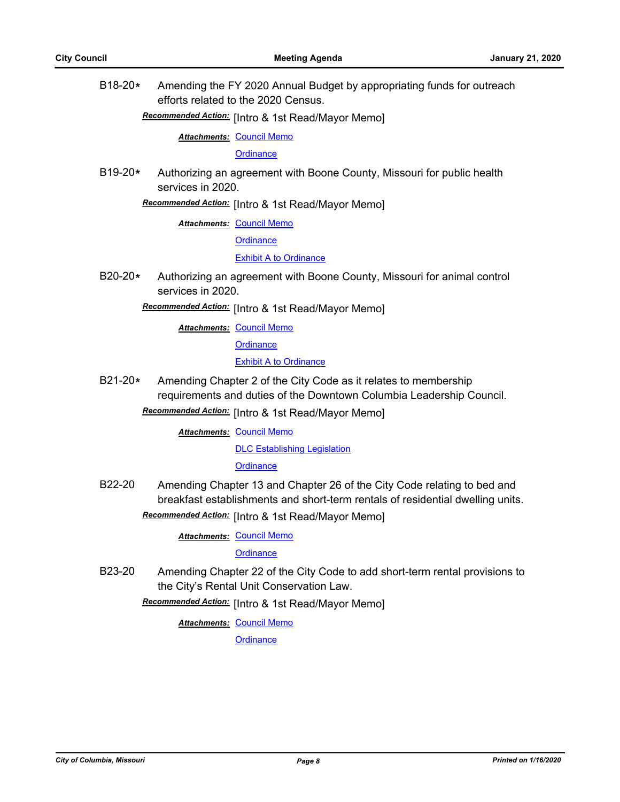B18-20**\*** Amending the FY 2020 Annual Budget by appropriating funds for outreach efforts related to the 2020 Census.

## [Intro & 1st Read/Mayor Memo] *Recommended Action:*

**Attachments: [Council Memo](http://gocolumbiamo.legistar.com/gateway.aspx?M=F&ID=457faeda-2591-4716-895d-9af5450b1591.docx)** 

**[Ordinance](http://gocolumbiamo.legistar.com/gateway.aspx?M=F&ID=9286b12f-84c1-4c53-9e23-912d364fb76f.doc)** 

B19-20**\*** Authorizing an agreement with Boone County, Missouri for public health services in 2020.

**Recommended Action:** [Intro & 1st Read/Mayor Memo]

**Attachments: [Council Memo](http://gocolumbiamo.legistar.com/gateway.aspx?M=F&ID=0cff96f0-dc14-4de6-9ba3-7d4266e8d3c1.docx)** 

**[Ordinance](http://gocolumbiamo.legistar.com/gateway.aspx?M=F&ID=196886a2-7915-4dd0-95b3-ffd66e5f8cfc.doc)** 

[Exhibit A to Ordinance](http://gocolumbiamo.legistar.com/gateway.aspx?M=F&ID=b3db8051-8864-41b8-aac7-0759b354cb99.pdf)

B20-20**\*** Authorizing an agreement with Boone County, Missouri for animal control services in 2020.

### Recommended Action: [Intro & 1st Read/Mayor Memo]

**Attachments: [Council Memo](http://gocolumbiamo.legistar.com/gateway.aspx?M=F&ID=a563f103-d934-4fc1-bd8b-e4a8881896ec.docx)** 

**[Ordinance](http://gocolumbiamo.legistar.com/gateway.aspx?M=F&ID=8bbe9659-5d9c-4491-8a7a-5e9aed417b5e.doc)** 

### **[Exhibit A to Ordinance](http://gocolumbiamo.legistar.com/gateway.aspx?M=F&ID=b4ad49a9-28d2-45a3-ad24-d56c5682831c.pdf)**

B21-20**\*** Amending Chapter 2 of the City Code as it relates to membership requirements and duties of the Downtown Columbia Leadership Council. Recommended Action: [Intro & 1st Read/Mayor Memo]

**Attachments: [Council Memo](http://gocolumbiamo.legistar.com/gateway.aspx?M=F&ID=6deab059-0a71-403d-870e-5919166139c9.docx)** 

[DLC Establishing Legislation](http://gocolumbiamo.legistar.com/gateway.aspx?M=F&ID=f6ac0e22-9dfc-477b-a5c4-0cca8355cc98.pdf)

**[Ordinance](http://gocolumbiamo.legistar.com/gateway.aspx?M=F&ID=9cd8ac27-7fe5-4bce-a6f5-d63e772dd039.doc)** 

- B22-20 Amending Chapter 13 and Chapter 26 of the City Code relating to bed and breakfast establishments and short-term rentals of residential dwelling units.
	- Recommended Action: [Intro & 1st Read/Mayor Memo]

**Attachments: [Council Memo](http://gocolumbiamo.legistar.com/gateway.aspx?M=F&ID=3a78bf8a-03f4-48d0-9910-5ff563f49f7a.docx)** 

**[Ordinance](http://gocolumbiamo.legistar.com/gateway.aspx?M=F&ID=bc3e4700-0f2f-4a52-887d-8123802c18ab.doc)** 

B23-20 Amending Chapter 22 of the City Code to add short-term rental provisions to the City's Rental Unit Conservation Law.

**Recommended Action:** [Intro & 1st Read/Mayor Memo]

**Attachments: [Council Memo](http://gocolumbiamo.legistar.com/gateway.aspx?M=F&ID=57507694-60ab-4129-970a-85bb85f12024.docx)**